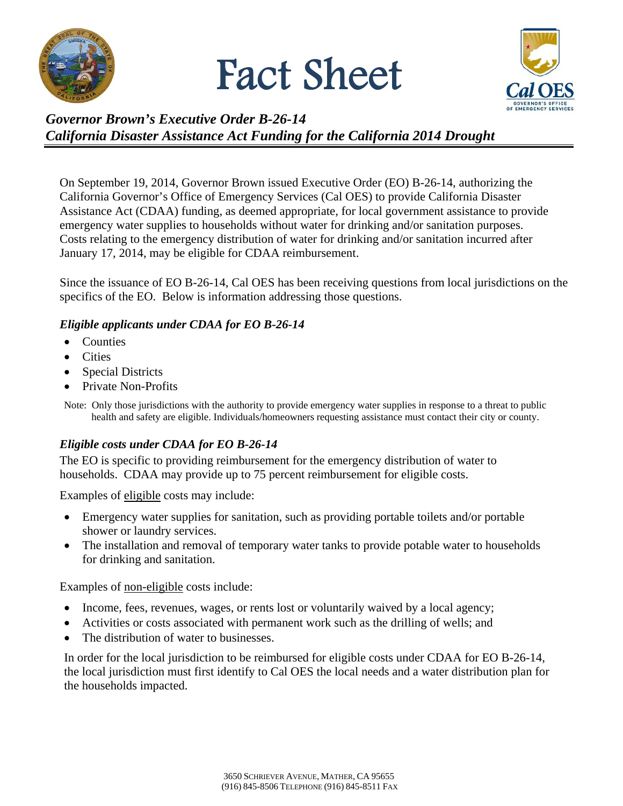

# Fact Sheet



# *Governor Brown's Executive Order B-26-14 California Disaster Assistance Act Funding for the California 2014 Drought*

On September 19, 2014, Governor Brown issued Executive Order (EO) B-26-14, authorizing the California Governor's Office of Emergency Services (Cal OES) to provide California Disaster Assistance Act (CDAA) funding, as deemed appropriate, for local government assistance to provide emergency water supplies to households without water for drinking and/or sanitation purposes. Costs relating to the emergency distribution of water for drinking and/or sanitation incurred after January 17, 2014, may be eligible for CDAA reimbursement.

Since the issuance of EO B-26-14, Cal OES has been receiving questions from local jurisdictions on the specifics of the EO. Below is information addressing those questions.

### *Eligible applicants under CDAA for EO B-26-14*

- Counties
- Cities
- Special Districts
- Private Non-Profits

Note: Only those jurisdictions with the authority to provide emergency water supplies in response to a threat to public health and safety are eligible. Individuals/homeowners requesting assistance must contact their city or county.

## *Eligible costs under CDAA for EO B-26-14*

The EO is specific to providing reimbursement for the emergency distribution of water to households. CDAA may provide up to 75 percent reimbursement for eligible costs.

Examples of eligible costs may include:

- Emergency water supplies for sanitation, such as providing portable toilets and/or portable shower or laundry services.
- The installation and removal of temporary water tanks to provide potable water to households for drinking and sanitation.

Examples of non-eligible costs include:

- Income, fees, revenues, wages, or rents lost or voluntarily waived by a local agency;
- Activities or costs associated with permanent work such as the drilling of wells; and
- The distribution of water to businesses.

In order for the local jurisdiction to be reimbursed for eligible costs under CDAA for EO B-26-14, the local jurisdiction must first identify to Cal OES the local needs and a water distribution plan for the households impacted.